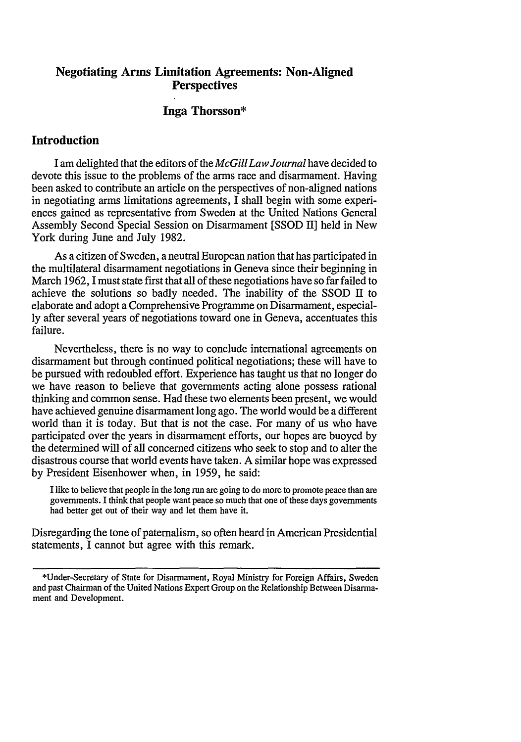# **Negotiating Arms Limitation Agreements: Non-Aligned Perspectives**

## **Inga Thorsson\***

# **Introduction**

Iam delighted that the editors of the *McGill Law Journal* have decided to devote this issue to the problems of the arms race and disarmament. Having been asked to contribute an article on the perspectives of non-aligned nations in negotiating arms limitations agreements, I shall begin with some experiences gained as representative from Sweden at the United Nations General Assembly Second Special Session on Disarmament [SSOD II] held in New York during June and July 1982.

As a citizen of Sweden, a neutral European nation that has participated in the multilateral disarmament negotiations in Geneva since their beginning in March 1962, **1** must state first that all of these negotiations have so far failed to achieve the solutions so badly needed. The inability of the SSOD II to elaborate and adopt a Comprehensive Programme on Disarmament, especially after several years of negotiations toward one in Geneva, accentuates this failure.

Nevertheless, there is no way to conclude international agreements on disarmament but through continued political negotiations; these will have to be pursued with redoubled effort. Experience has taught us that no longer do we have reason to believe that governments acting alone possess rational thinking and common sense. Had these two elements been present, we would have achieved genuine disarmament long ago. The world would be a different world than it is today. But that is not the case. For many of us who have participated over the years in disarmament efforts, our hopes are buoyed by the determined will of all concerned citizens who seek to stop and to alter the disastrous course that world events have taken. A similar hope was expressed by President Eisenhower when, in 1959, he said:

I like to believe that people in the long run are going to do more to promote peace than are governments. I think that people want peace so much that one of these days governments had better get out of their way and let them have it.

Disregarding the tone of paternalism, so often heard in American Presidential statements, I cannot but agree with this remark.

<sup>\*</sup>Under-Secretary of State for Disarmament, Royal Ministry for Foreign Affairs, Sweden and past Chairman of the United Nations Expert Group on the Relationship Between Disarmament and Development.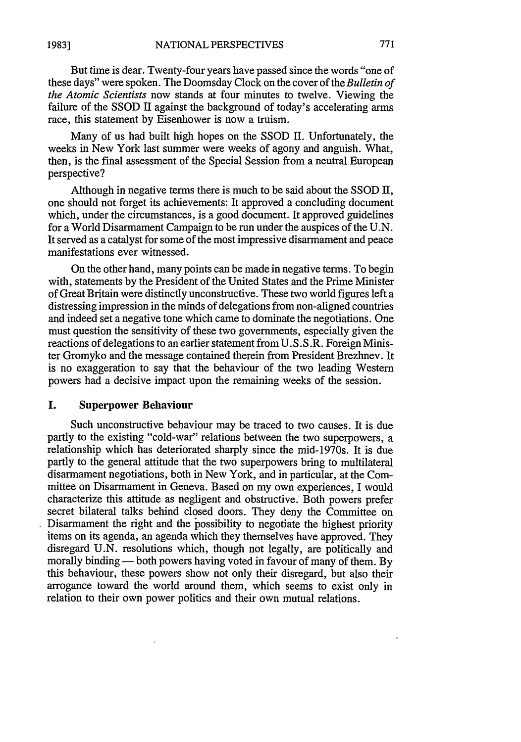Many of us had built high hopes on the SSOD II. Unfortunately, the weeks in New York last summer were weeks of agony and anguish. What, then, is the final assessment of the Special Session from a neutral European perspective?

Although in negative terms there is much to be said about the SSOD **H,** one should not forget its achievements: It approved a concluding document which, under the circumstances, is a good document. It approved guidelines for a World Disarmament Campaign to be run under the auspices of the U.N. It served as a catalyst for some of the most impressive disarmament and peace manifestations ever witnessed.

On the other hand, many points can be made in negative terms. To begin with, statements by the President of the United States and the Prime Minister of Great Britain were distinctly unconstructive. These two world figures left a distressing impression in the minds of delegations from non-aligned countries and indeed set a negative tone which came to dominate the negotiations. One must question the sensitivity of these two governments, especially given the reactions of delegations to an earlier statement from U.S.S.R. Foreign Minister Gromyko and the message contained therein from President Brezhnev. It is no exaggeration to say that the behaviour of the two leading Western powers had a decisive impact upon the remaining weeks of the session.

#### **I.** Superpower Behaviour

Such unconstructive behaviour may be traced to two causes. It is due partly to the existing "cold-war" relations between the two superpowers, a relationship which has deteriorated sharply since the mid-1970s. It is due partly to the general attitude that the two superpowers bring to multilateral disarmament negotiations, both in New York, and in particular, at the Committee on Disarmament in Geneva. Based on my own experiences, I would characterize this attitude as negligent and obstructive. Both powers prefer secret bilateral talks behind closed doors. They deny the Committee on Disarmament the right and the possibility to negotiate the highest priority items on its agenda, an agenda which they themselves have approved. They disregard U.N. resolutions which, though not legally, are politically and morally binding — both powers having voted in favour of many of them. By this behaviour, these powers show not only their disregard, but also their arrogance toward the world around them, which seems to exist only in relation to their own power politics and their own mutual relations.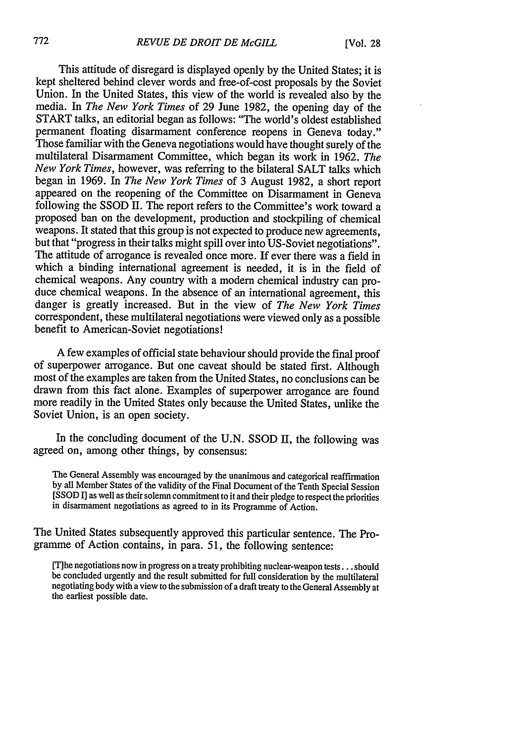This attitude of disregard is displayed openly by the United States; it is kept sheltered behind clever words and free-of-cost proposals by the Soviet Union. In the United States, this view of the world is revealed also by the media. In *The New York Times* of 29 June 1982, the opening day of the START talks, an editorial began as follows: "The world's oldest established permanent floating disarmament conference reopens in Geneva today." Those familiar with the Geneva negotiations would have thought surely of the multilateral Disarmament Committee, which began its work in 1962. *The New York Times,* however, was referring to the bilateral SALT talks which began in 1969. In *The New York Times* of 3 August 1982, a short report appeared on the reopening of the Committee on Disarmament in Geneva following the SSOD II. The report refers to the Committee's work toward a proposed ban on the development, production and stockpiling of chemical weapons. It stated that this group is not expected to produce new agreements, but that "progress in their talks might spill over into US-Soviet negotiations". The attitude of arrogance is revealed once more. If ever there was a field in which a binding international agreement is needed, it is in the field of chemical weapons. Any country with a modem chemical industry can produce chemical weapons. In the absence of an international agreement, this danger is greatly increased. But in the view of *The New York Times* correspondent, these multilateral negotiations were viewed only as a possible benefit to American-Soviet negotiations!

A few examples of official state behaviour should provide the final proof of superpower arrogance. But one caveat should be stated first. Although most of the examples are taken from the United States, no conclusions can be drawn from this fact alone. Examples of superpower arrogance are found more readily in the United States only because the United States, unlike the Soviet Union, is an open society.

In the concluding document of the U.N. SSOD II, the following was agreed on, among other things, by consensus:

The General Assembly was encouraged by the unanimous and categorical reaffirmation by all Member States of the validity of the Final Document of the Tenth Special Session [SSOD I] as well as their solemn commitment to it and their pledge to respect the priorities in disarmament negotiations as agreed to in its Programme of Action.

The United States subsequently approved this particular sentence. The Programme of Action contains, in para. 51, the following sentence:

[T] he negotiations now in progress on a treaty prohibiting nuclear-weapon tests... should be concluded urgently and the result submitted for full consideration by the multilateral negotiating body with a view to the submission of a draft treaty to the General Assembly at the earliest possible date.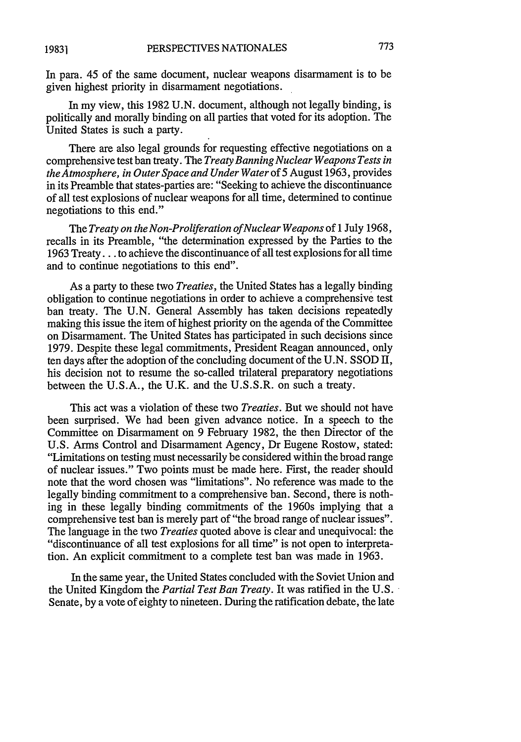In para. 45 of the same document, nuclear weapons disarmament is to be given highest priority in disarmament negotiations.

In my view, this 1982 U.N. document, although not legally binding, is politically and morally binding on all parties that voted for its adoption. The United States is such a party.

There are also legal grounds for requesting effective negotiations on a comprehensive test ban treaty. The *Treaty Banning Nuclear Weapons Tests in the Atmosphere, in Outer Space and Under Water* of 5 August 1963, provides in its Preamble that states-parties are: "Seeking to achieve the discontinuance of all test explosions of nuclear weapons for all time, determined to continue negotiations to this end."

The *Treaty on the Non-Proliferation ofNuclear Weapons* of 1 July 1968, recalls in its Preamble, "the determination expressed by the Parties to the 1963 Treaty... to achieve the discontinuance of all test explosions for all time and to continue negotiations to this end".

As a party to these two *Treaties,* the United States has a legally binding obligation to continue negotiations in order to achieve a comprehensive test ban treaty. The U.N. General Assembly has taken decisions repeatedly making this issue the item of highest priority on the agenda of the Committee on Disarmament. The United States has participated in such decisions since 1979. Despite these legal commitments, President Reagan announced, only ten days after the adoption of the concluding document of the U.N. SSOD II, his decision not to resume the so-called trilateral preparatory negotiations between the U.S.A., the U.K. and the U.S.S.R. on such a treaty.

This act was a violation of these two *Treaties.* But we should not have been surprised. We had been given advance notice. In a speech to the Committee on Disarmament on 9 February 1982, the then Director of the U.S. Arms Control and Disarmament Agency, Dr Eugene Rostow, stated: "Limitations on testing must necessarily be considered within the broad range of nuclear issues." Two points must be made here. First, the reader should note that the word chosen was "limitations". No reference was made to the legally binding commitment to a comprehensive ban. Second, there is nothing in these legally binding commitments of the 1960s implying that a comprehensive test ban is merely part of "the broad range of nuclear issues". The language in the two *Treaties* quoted above is clear and unequivocal: the "discontinuance of all test explosions for all time" is not open to interpretation. An explicit commitment to a complete test ban was made in 1963.

In the same year, the United States concluded with the Soviet Union and the United Kingdom the *Partial Test Ban Treaty.* It was ratified in the U.S. Senate, by a vote of eighty to nineteen. During the ratification debate, the late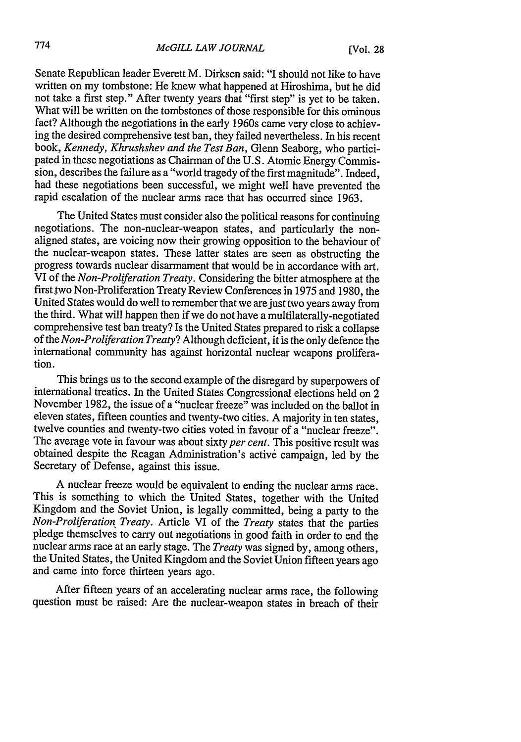Senate Republican leader Everett M. Dirksen said: "I should not like to have written on my tombstone: He knew what happened at Hiroshima, but he did not take a first step." After twenty years that "first step" is yet to be taken. What will be written on the tombstones of those responsible for this ominous fact? Although the negotiations in the early 1960s came very close to achieving the desired comprehensive test ban, they failed nevertheless. In his recent book, *Kennedy, Khrushshev and the Test Ban,* Glenn Seaborg, who participated in these negotiations as Chairman of the U.S. Atomic Energy Commission, describes the failure as a "world tragedy of the first magnitude". Indeed, had these negotiations been successful, we might well have prevented the rapid escalation of the nuclear arms race that has occurred since 1963.

The United States must consider also the political reasons for continuing negotiations. The non-nuclear-weapon states, and particularly the nonaligned states, are voicing now their growing opposition to the behaviour of the nuclear-weapon states. These latter states are seen as obstructing the progress towards nuclear disarmament that would be in accordance with art. VI of the *Non-Proliferation Treaty.* Considering the bitter atmosphere at the first two Non-Proliferation Treaty Review Conferences in 1975 and 1980, the United States would do well to remember that we are just two years away from the third. What will happen then if we do not have a multilaterally-negotiated comprehensive test ban treaty? Is the United States prepared to risk a collapse of the *Non-Proliferation Treaty?* Although deficient, it is the only defence the international community has against horizontal nuclear weapons proliferation.

This brings us to the second example of the disregard by superpowers of international treaties. In the United States Congressional elections held on 2 November 1982, the issue of a "nuclear freeze" was included on the ballot in eleven states, fifteen counties and twenty-two cities. A majority in ten states, twelve counties and twenty-two cities voted in favour of a "nuclear freeze". The average vote in favour was about sixty *per cent.* This positive result was obtained despite the Reagan Administration's active campaign, led by the Secretary of Defense, against this issue.

A nuclear freeze would be equivalent to ending the nuclear arms race. This is something to which the United States, together with the United Kingdom and the Soviet Union, is legally committed, being a party to the *Non-Proliferation Treaty.* Article VI of the *Treaty* states that the parties pledge themselves to carry out negotiations in good faith in order to end the nuclear arms race at an early stage. The *Treaty* was signed by, among others, the United States, the United Kingdom and the Soviet Union fifteen years ago and came into force thirteen years ago.

After fifteen years of an accelerating nuclear arms race, the following question must be raised: Are the nuclear-weapon states in breach of their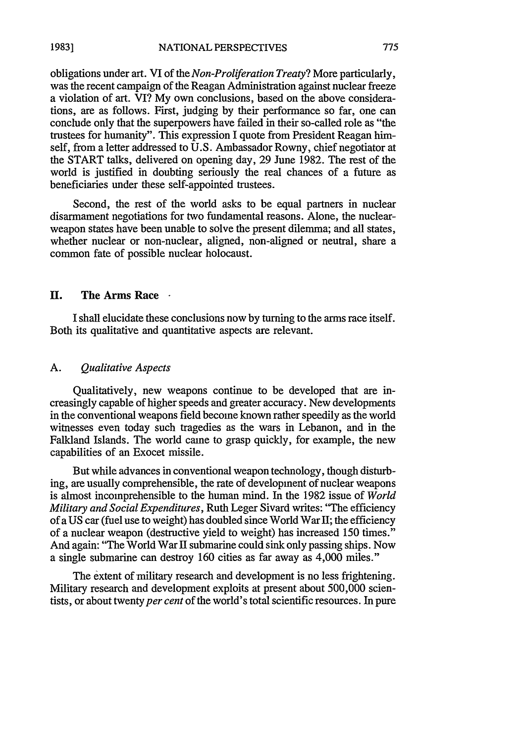obligations under art. VI of the *Non-Proliferation Treaty?* More particularly, was the recent campaign of the Reagan Administration against nuclear freeze a violation of art. VI? My own conclusions, based on the above considerations, are as follows. First, judging by their performance so far, one can conclude only that the superpowers have failed in their so-called role as "the trustees for humanity". This expression I quote from President Reagan himself, from a letter addressed to U.S. Ambassador Rowny, chief negotiator at the START talks, delivered on opening day, 29 June 1982. The rest of the world is justified in doubting seriously the real chances of a future as beneficiaries under these self-appointed trustees.

Second, the rest of the world asks to be equal partners in nuclear disarmament negotiations for two fundamental reasons. Alone, the nuclearweapon states have been unable to solve the present dilemma; and all states, whether nuclear or non-nuclear, aligned, non-aligned or neutral, share a common fate of possible nuclear holocaust.

#### **H. The Arms Race**

**I** shall elucidate these conclusions now by turning to the arms race itself. Both its qualitative and quantitative aspects are relevant.

#### A. *Qualitative Aspects*

Qualitatively, new weapons continue to be developed that are increasingly capable of higher speeds and greater accuracy. New developments in the conventional weapons field become known rather speedily as the world witnesses even today such tragedies as the wars in Lebanon, and in the Falkland Islands. The world came to grasp quickly, for example, the new capabilities of an Exocet missile.

But while advances in conventional weapon technology, though disturbing, are usually comprehensible, the rate of development of nuclear weapons is almost incomprehensible to the human mind. In the 1982 issue of *World Military and Social Expenditures,* Ruth Leger Sivard writes: "The efficiency of a US car (fuel use to weight) has doubled since World War II; the efficiency of a nuclear weapon (destructive yield to weight) has increased 150 times." And again: "The World War II submarine could sink only passing ships. Now a single submarine can destroy 160 cities as far away as 4,000 miles."

The extent of military research and development is no less frightening. Military research and development exploits at present about 500,000 scientists, or about twenty *per cent* of the world's total scientific resources. In pure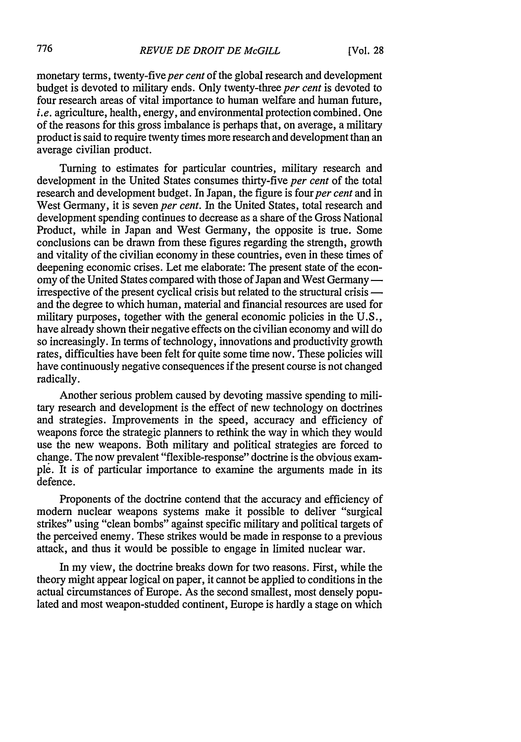monetary terms, twenty-five *per cent* of the global research and development budget is devoted to military ends. Only twenty-three *per cent* is devoted to four research areas of vital importance to human welfare and human future, *i.e.* agriculture, health, energy, and environmental protection combined. One of the reasons for this gross imbalance is perhaps that, on average, a military product is said to require twenty times more research and development than an average civilian product.

Turning to estimates for particular countries, military research and development in the United States consumes thirty-five *per cent* of the total research and development budget. In Japan, the figure is four *per cent* and in West Germany, it is seven *per cent.* In the United States, total research and development spending continues to decrease as a share of the Gross National Product, while in Japan and West Germany, the opposite is true. Some conclusions can be drawn from these figures regarding the strength, growth and vitality of the civilian economy in these countries, even in these times of deepening economic crises. Let me elaborate: The present state of the economy of the United States compared with those of Japan and West Germany  irrespective of the present cyclical crisis but related to the structural crisis  and the degree to which human, material and financial resources are used for military purposes, together with the general economic policies in the U.S., have already shown their negative effects on the civilian economy and will do so increasingly. In terms of technology, innovations and productivity growth rates, difficulties have been felt for quite some time now. These policies will have continuously negative consequences if the present course is not changed radically.

Another serious problem caused by devoting massive spending to military research and development is the effect of new technology on doctrines and strategies. Improvements in the speed, accuracy and efficiency of weapons force the strategic planners to rethink the way in which they would use the new weapons. Both military and political strategies are forced to change. The now prevalent "flexible-response" doctrine is the obvious example. It is of particular importance to examine the arguments made in its defence.

Proponents of the doctrine contend that the accuracy and efficiency of modern nuclear weapons systems make it possible to deliver "surgical strikes" using "clean bombs" against specific military and political targets of the perceived enemy. These strikes would be made in response to a previous attack, and thus it would be possible to engage in limited nuclear war.

In my view, the doctrine breaks down for two reasons. First, while the theory might appear logical on paper, it cannot be applied to conditions in the actual circumstances of Europe. As the second smallest, most densely populated and most weapon-studded continent, Europe is hardly a stage on which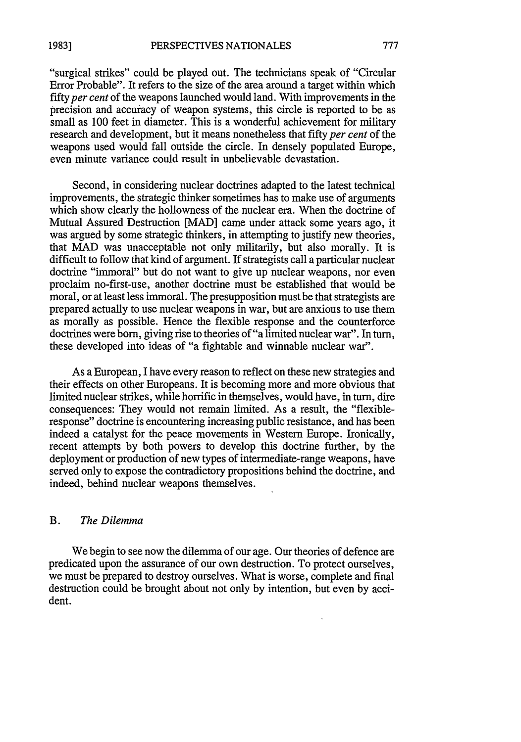"surgical strikes" could be played out. The technicians speak of "Circular Error Probable". It refers to the size of the area around a target within which *fifty per cent* of the weapons launched would land. With improvements in the precision and accuracy of weapon systems, this circle is reported to be as small as 100 feet in diameter. This is a wonderful achievement for military research and development, but it means nonetheless that fifty *per cent* of the weapons used would fall outside the circle. In densely populated Europe, even minute variance could result in unbelievable devastation.

Second, in considering nuclear doctrines adapted to the latest technical improvements, the strategic thinker sometimes has to make use of arguments which show clearly the hollowness of the nuclear era. When the doctrine of Mutual Assured Destruction [MAD] came under attack some years ago, it was argued by some strategic thinkers, in attempting to justify new theories, that MAD was unacceptable not only militarily, but also morally. It is difficult to follow that kind of argument. If strategists call a particular nuclear doctrine "immoral" but do not want to give up nuclear weapons, nor even proclaim no-first-use, another doctrine must be established that would be moral, or at least less immoral. The presupposition must be that strategists are prepared actually to use nuclear weapons in war, but are anxious to use them as morally as possible. Hence the flexible response and the counterforce doctrines were born, giving rise to theories of"a limited nuclear war". In turn, these developed into ideas of "a fightable and winnable nuclear war".

As a European, I have every reason to reflect on these new strategies and their effects on other Europeans. It is becoming more and more obvious that limited nuclear strikes, while horrific in themselves, would have, in turn, dire consequences: They would not remain limited. As a result, the "flexibleresponse" doctrine is encountering increasing public resistance, and has been indeed a catalyst for the peace movements in Western Europe. Ironically, recent attempts by both powers to develop this doctrine further, by the deployment or production of new types of intermediate-range weapons, have served only to expose the contradictory propositions behind the doctrine, and indeed, behind nuclear weapons themselves.

### B. *The Dilemma*

We begin to see now the dilemma of our age. Our theories of defence are predicated upon the assurance of our own destruction. To protect ourselves, we must be prepared to destroy ourselves. What is worse, complete and final destruction could be brought about not only by intention, but even by accident.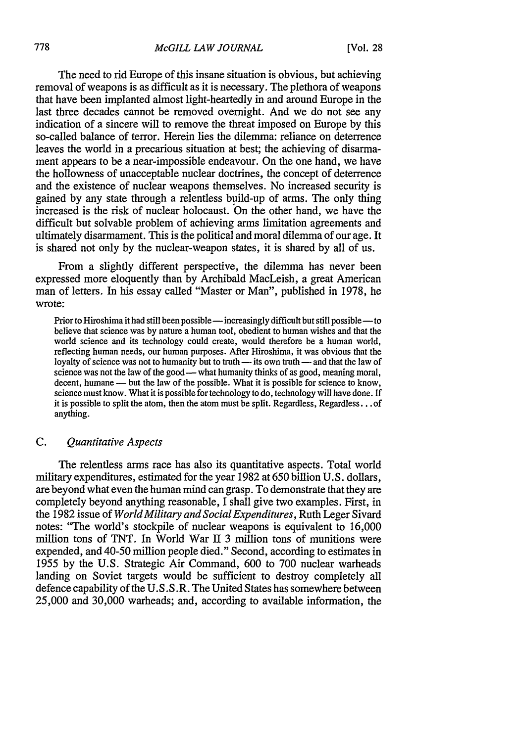The need to rid Europe of this insane situation is obvious, but achieving removal of weapons is as difficult as it is necessary. The plethora of weapons that have been implanted almost light-heartedly in and around Europe in the last three decades cannot be removed overnight. And we do not see any indication of a sincere will to remove the threat imposed on Europe by this so-called balance of terror. Herein lies the dilemma: reliance on deterrence leaves the world in a precarious situation at best; the achieving of disarmament appears to be a near-impossible endeavour. On the one hand, we have the hollowness of unacceptable nuclear doctrines, the concept of deterrence and the existence of nuclear weapons themselves. No increased security is gained by any state through a relentless build-up of arms. The only thing increased is the risk of nuclear holocaust. On the other hand, we have the difficult but solvable problem of achieving arms limitation agreements and ultimately disarmament. This is the political and moral dilemma of our age. It is shared not only by the nuclear-weapon states, it is shared by all of us.

From a slightly different perspective, the dilemma has never been expressed more eloquently than by Archibald MacLeish, a great American man of letters. In his essay called "Master or Man", published in 1978, he wrote:

Prior to Hiroshima it had still been possible - increasingly difficult but still possible - to believe that science was by nature a human tool, obedient to human wishes and that the world science and its technology could create, would therefore be a human world, reflecting human needs, our human purposes. After Hiroshima, it was obvious that the loyalty of science was not to humanity but to truth - its own truth - and that the law of science was not the law of the good -- what humanity thinks of as good, meaning moral, decent, humane - but the law of the possible. What it is possible for science to know, science must know. What it is possible for technology to do, technology will have done. If it is possible to split the atom, then the atom must be split. Regardless, Regardless **...** of anything.

#### C. *Quantitative Aspects*

The relentless arms race has also its quantitative aspects. Total world military expenditures, estimated for the year 1982 at 650 billion U.S. dollars, are beyond what even the human mind can grasp. To demonstrate that they are completely beyond anything reasonable, I shall give two examples. First, in the 1982 issue of *World Military and Social Expenditures,* Ruth Leger Sivard notes: "The world's stockpile of nuclear weapons is equivalent to 16,000 million tons of TNT. In World War II 3 million tons of munitions were expended, and 40-50 million people died." Second, according to estimates in 1955 by the U.S. Strategic Air Command, 600 to 700 nuclear warheads landing on Soviet targets would be sufficient to destroy completely all defence capability of the U.S.S.R. The United States has somewhere between 25,000 and 30,000 warheads; and, according to available information, the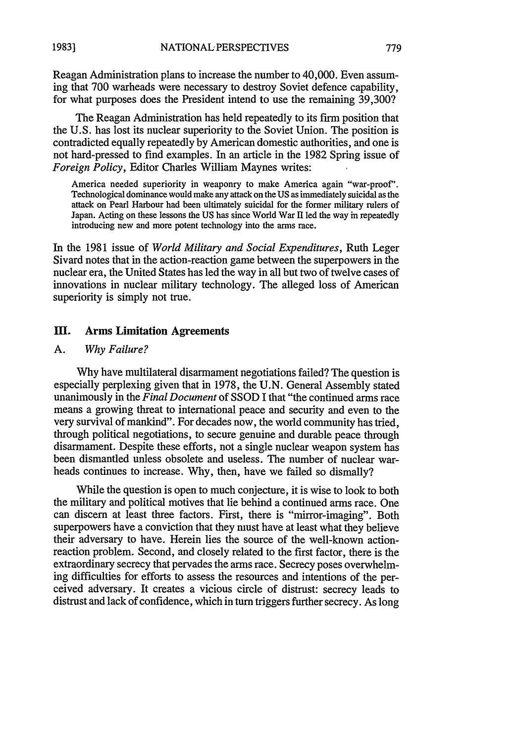Reagan Administration plans to increase the number to 40,000. Even assuming that 700 warheads were necessary to destroy Soviet defence capability, for what purposes does the President intend to use the remaining 39,300?

The Reagan Administration has held repeatedly to its firm position that the U.S. has lost its nuclear superiority to the Soviet Union. The position is contradicted equally repeatedly by American domestic authorities, and one is not hard-pressed to find examples. In an article in the 1982 Spring issue of *Foreign Policy,* Editor Charles William Maynes writes:

America needed superiority in weaponry to make America again "war-proof'. Technological dominance would make any attack on the US as immediately suicidal as the attack on Pearl Harbour had been ultimately suicidal for the former military rulers of Japan. Acting on these lessons the US has since World War II led the way in repeatedly introducing new and more potent technology into the arms race.

In the 1981 issue of *World Military and Social Expenditures,* Ruth Leger Sivard notes that in the action-reaction game between the superpowers in the nuclear era, the United States has led the way in all but two of twelve cases of innovations in nuclear military technology. The alleged loss of American superiority is simply not true.

### **HI.** Arms Limitation Agreements

#### A. *Why Failure?*

Why have multilateral disarmament negotiations failed? The question is especially perplexing given that in 1978, the U.N. General Assembly stated unanimously in the *Final Document* of SSOD I that "the continued arms race means a growing threat to international peace and security and even to the very survival of mankind". For decades now, the world community has tried, through political negotiations, to secure genuine and durable peace through disarmament. Despite these efforts, not a single nuclear weapon system has been dismantled unless obsolete and useless. The number of nuclear warheads continues to increase. Why, then, have we failed so dismally?

While the question is open to much conjecture, it is wise to look to both the military and political motives that lie behind a continued arms race. One can discern at least three factors. First, there is "mirror-imaging". Both superpowers have a conviction that they must have at least what they believe their adversary to have. Herein lies the source of the well-known actionreaction problem. Second, and closely related to the first factor, there is the extraordinary secrecy that pervades the arms race. Secrecy poses overwhelming difficulties for efforts to assess the resources and intentions of the perceived adversary. It creates a vicious circle of distrust: secrecy leads to distrust and lack of confidence, which in turn triggers further secrecy. As long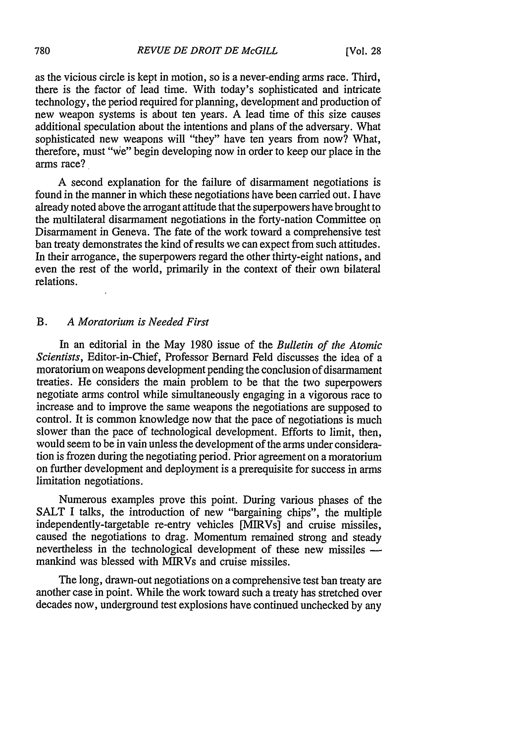as the vicious circle is kept in motion, so is a never-ending arms race. Third, there is the factor of lead time. With today's sophisticated and intricate technology, the period required for planning, development and production of new weapon systems is about ten years. A lead time of this size causes additional speculation about the intentions and plans of the adversary. What sophisticated new weapons will "they" have ten years from now? What, therefore, must "we" begin developing now in order to keep our place in the arms race?

A second explanation for the failure of disarmament negotiations is found in the manner in which these negotiations have been carried out. I have already noted above the arrogant attitude that the superpowers have brought to the multilateral disarmament negotiations in the forty-nation Committee on Disarmament in Geneva. The fate of the work toward a comprehensive test ban treaty demonstrates the kind of results we can expect from such attitudes. In their arrogance, the superpowers regard the other thirty-eight nations, and even the rest of the world, primarily in the context of their own bilateral relations.

### B. *A Moratorium is Needed First*

In an editorial in the May 1980 issue of the *Bulletin of the Atomic Scientists,* Editor-in-Chief, Professor Bernard Feld discusses the idea of a moratorium on weapons development pending the conclusion of disarmament treaties. He considers the main problem to be that the two superpowers negotiate arms control while simultaneously engaging in a vigorous race to increase and to improve the same weapons the negotiations are supposed to control. It is common knowledge now that the pace of negotiations is much slower than the pace of technological development. Efforts to limit, then, would seem to be in vain unless the development of the arms under consideration is frozen during the negotiating period. Prior agreement on a moratorium on further development and deployment is a prerequisite for success in arms limitation negotiations.

Numerous examples prove this point. During various phases of the SALT I talks, the introduction of new "bargaining chips", the multiple independently-targetable re-entry vehicles [MIRVs] and cruise missiles, caused the negotiations to drag. Momentum remained strong and steady nevertheless in the technological development of these new missiles  $$ mankind was blessed with MIRVs and cruise missiles.

The long, drawn-out negotiations on a comprehensive test ban treaty are another case in point. While the work toward such a treaty has stretched over decades now, underground test explosions have continued unchecked by any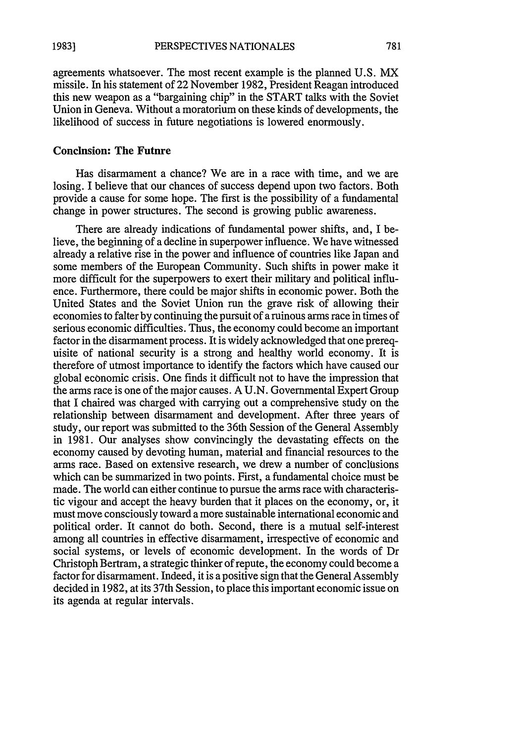781

agreements whatsoever. The most recent example is the planned U.S. MX missile. In his statement of 22 November 1982, President Reagan introduced this new weapon as a "bargaining chip" in the START talks with the Soviet Union in Geneva. Without a moratorium on these kinds of developments, the likelihood of success in future negotiations is lowered enormously.

### Conclusion: The Future

Has disarmament a chance? We are in a race with time, and we are losing. I believe that our chances of success depend upon two factors. Both provide a cause for some hope. The first is the possibility of a fundamental change in power structures. The second is growing public awareness.

There are already indications of fundamental power shifts, and, I believe, the beginning of a decline in superpower influence. We have witnessed already a relative rise in the power and influence of countries like Japan and some members of the European Community. Such shifts in power make it more difficult for the superpowers to exert their military and political influence. Furthermore, there could be major shifts in economic power. Both the United States and the Soviet Union run the grave risk of allowing their economies to falter **by** continuing the pursuit of a ruinous arms race in times of serious economic difficulties. Thus, the economy could become an important factor in the disarmament process. It is widely acknowledged that one prerequisite of national security is a strong and healthy world economy. It is therefore of utmost importance to identify the factors which have caused our global economic crisis. One finds it difficult not to have the impression that the arms race is one of the major causes. **A U.N.** Governmental Expert Group that I chaired was charged with carrying out a comprehensive study on the relationship between disarmament and development. After three years of study, our report was submitted to the 36th Session of the General Assembly in **1981.** Our analyses show convincingly the devastating effects on the economy caused **by** devoting human, material and financial resources to the arms race. Based on extensive research, we drew a number of conclisions which can be summarized in two points. First, a fundamental choice must be made. The world can either continue to pursue the arms race with characteristic vigour and accept the heavy burden that it places on the economy, or, it must move consciously toward a more sustainable international economic and political order. It cannot do both. Second, there is a mutual self-interest among all countries in effective disarmament, irrespective of economic and social systems, or levels of economic development. In the words of Dr Christoph Bertram, a strategic thinker of repute, the economy could become a factor for disarmament. Indeed, it is a positive sign that the General Assembly decided in 1982, at its 37th Session, to place this important economic issue on its agenda at regular intervals.